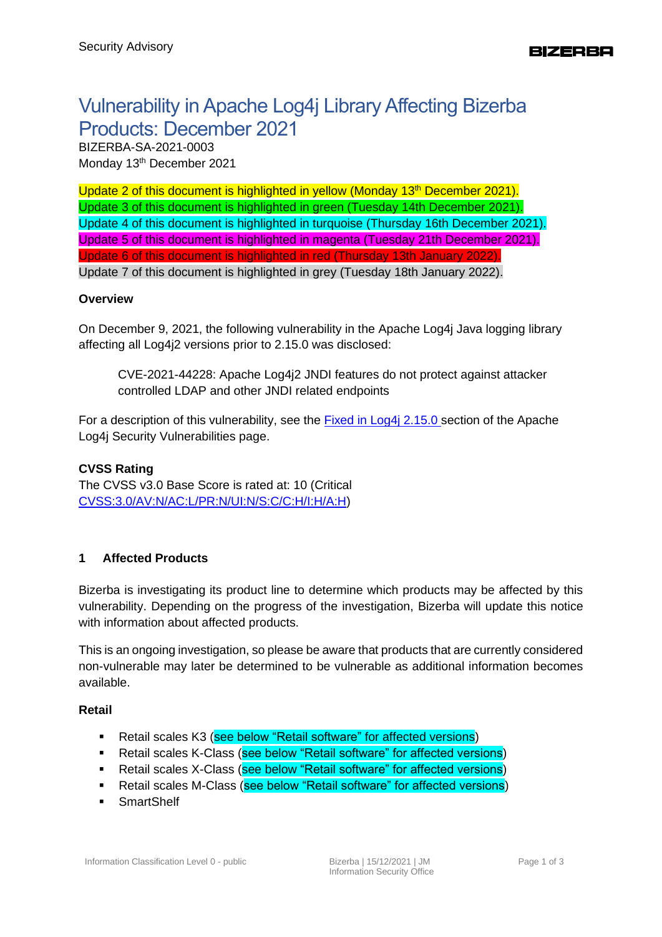# Vulnerability in Apache Log4j Library Affecting Bizerba Products: December 2021

BIZERBA-SA-2021-0003 Monday 13<sup>th</sup> December 2021

Update 2 of this document is highlighted in yellow (Monday  $13<sup>th</sup>$  December 2021). Update 3 of this document is highlighted in green (Tuesday 14th December 2021). Update 4 of this document is highlighted in turquoise (Thursday 16th December 2021). Update 5 of this document is highlighted in magenta (Tuesday 21th December 2021). Update 6 of this document is highlighted in red (Thursday 13th January 2022). Update 7 of this document is highlighted in grey (Tuesday 18th January 2022).

# **Overview**

On December 9, 2021, the following vulnerability in the Apache Log4j Java logging library affecting all Log4j2 versions prior to 2.15.0 was disclosed:

CVE-2021-44228: Apache Log4j2 JNDI features do not protect against attacker controlled LDAP and other JNDI related endpoints

For a description of this vulnerability, see the **Fixed in Log4j 2.15.0** section of the Apache Log4j Security Vulnerabilities page.

# **CVSS Rating**

The CVSS v3.0 Base Score is rated at: 10 (Critical [CVSS:3.0/AV:N/AC:L/PR:N/UI:N/S:C/C:H/I:H/A:H\)](cvss:3.0/AV:N/AC:L/PR:N/UI:N/S:C/C:H/I:H/A:H)

# **1 Affected Products**

Bizerba is investigating its product line to determine which products may be affected by this vulnerability. Depending on the progress of the investigation, Bizerba will update this notice with information about affected products.

This is an ongoing investigation, so please be aware that products that are currently considered non-vulnerable may later be determined to be vulnerable as additional information becomes available.

### **Retail**

- **E** Retail scales K3 (see below "Retail software" for affected versions)
- Retail scales K-Class (see below "Retail software" for affected versions)
- Retail scales X-Class (see below "Retail software" for affected versions)
- Retail scales M-Class (see below "Retail software" for affected versions)
- **•** SmartShelf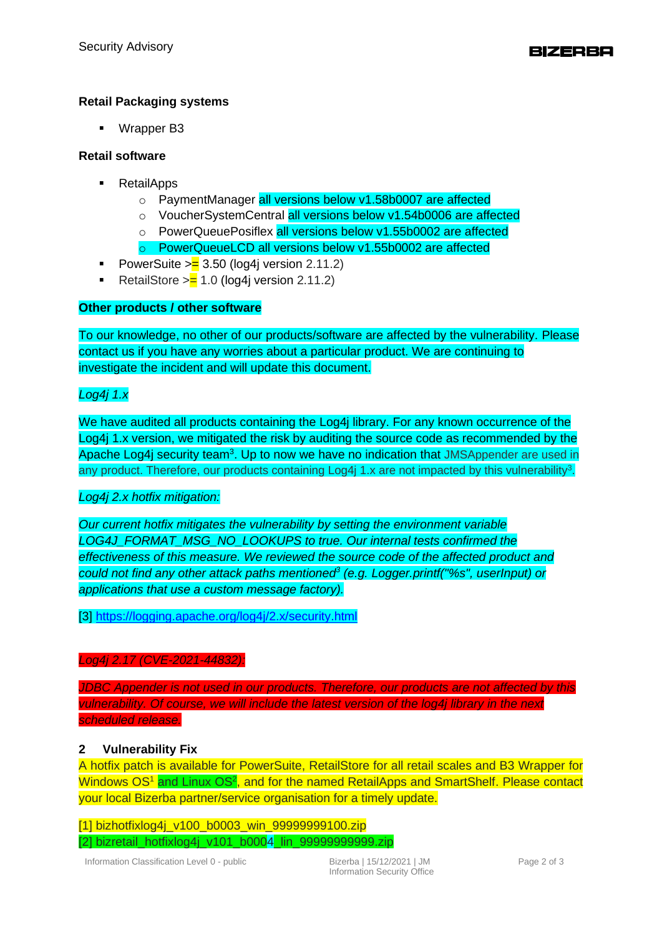# **Retail Packaging systems**

■ Wrapper B3

### **Retail software**

- RetailApps
	- o PaymentManager all versions below v1.58b0007 are affected
	- o VoucherSystemCentral all versions below v1.54b0006 are affected
	- o PowerQueuePosiflex all versions below v1.55b0002 are affected
	- o PowerQueueLCD all versions below v1.55b0002 are affected
- **•** PowerSuite  $\geq$  3.50 (log4j version 2.11.2)
- RetailStore > $= 1.0$  (log4j version 2.11.2)

### **Other products / other software**

To our knowledge, no other of our products/software are affected by the vulnerability. Please contact us if you have any worries about a particular product. We are continuing to investigate the incident and will update this document.

# *Log4j 1.x*

We have audited all products containing the Log4j library. For any known occurrence of the Log4j 1.x version, we mitigated the risk by auditing the source code as recommended by the Apache Log4j security team<sup>3</sup>. Up to now we have no indication that JMSAppender are used in any product. Therefore, our products containing Log4j 1.x are not impacted by this vulnerability<sup>3</sup>.

### *Log4j 2.x hotfix mitigation:*

*Our current hotfix mitigates the vulnerability by setting the environment variable LOG4J\_FORMAT\_MSG\_NO\_LOOKUPS to true. Our internal tests confirmed the effectiveness of this measure. We reviewed the source code of the affected product and could not find any other attack paths mentioned<sup>3</sup> (e.g. Logger.printf("%s", userInput) or applications that use a custom message factory).*

[3]<https://logging.apache.org/log4j/2.x/security.html>

#### *Log4j 2.17 (CVE-2021-44832):*

*JDBC Appender is not used in our products. Therefore, our products are not affected by this vulnerability. Of course, we will include the latest version of the log4j library in the next scheduled release.*

### **2 Vulnerability Fix**

A hotfix patch is available for PowerSuite, RetailStore for all retail scales and B3 Wrapper for Windows OS<sup>1</sup> and Linux OS<sup>2</sup>, and for the named RetailApps and SmartShelf. Please contact your local Bizerba partner/service organisation for a timely update.

[1] bizhotfixlog4j\_v100\_b0003\_win\_99999999100.zip [2] bizretail\_hotfixlog4j\_v101\_b0004 lin\_999999999999.zip